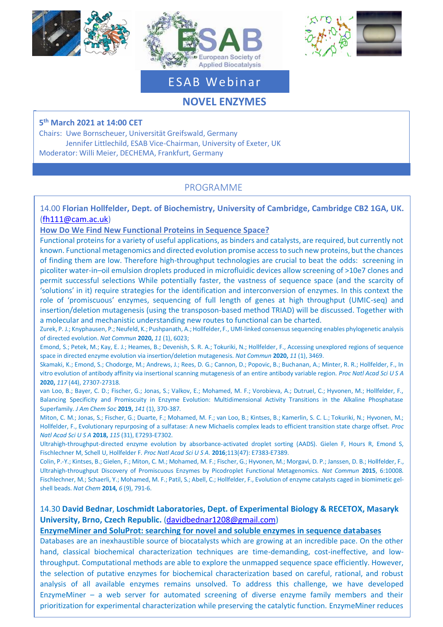





# ESAB Webinar

# **NOVEL ENZYMES**

**5 th March 2021 at 14:00 CET**

Chairs: Uwe Bornscheuer, Universität Greifswald, Germany Jennifer Littlechild, ESAB Vice-Chairman, University of Exeter, UK Moderator: Willi Meier, DECHEMA, Frankfurt, Germany

## PROGRAMME

14.00 **Florian Hollfelder, Dept. of Biochemistry, University of Cambridge, Cambridge CB2 1GA, UK.**  [\(fh111@cam.ac.uk\)](mailto:fh111@cam.ac.uk)

#### **How Do We Find New Functional Proteins in Sequence Space?**

Functional proteins for a variety of useful applications, as binders and catalysts, are required, but currently not known. Functional metagenomics and directed evolution promise access to such new proteins, but the chances of finding them are low. Therefore high-throughput technologies are crucial to beat the odds: screening in picoliter water-in–oil emulsion droplets produced in microfluidic devices allow screening of >10e7 clones and permit successful selections While potentially faster, the vastness of sequence space (and the scarcity of 'solutions' in it) require strategies for the identification and interconversion of enzymes. In this context the role of 'promiscuous' enzymes, sequencing of full length of genes at high throughput (UMIC-seq) and insertion/deletion mutagenesis (using the transposon-based method TRIAD) will be discussed. Together with a molecular and mechanistic understanding new routes to functional can be charted.

Zurek, P. J.; Knyphausen, P.; Neufeld, K.; Pushpanath, A.; Hollfelder, F., UMI-linked consensus sequencing enables phylogenetic analysis of directed evolution. *Nat Commun* **2020,** *11* (1), 6023;

Emond, S.; Petek, M.; Kay, E. J.; Heames, B.; Devenish, S. R. A.; Tokuriki, N.; Hollfelder, F., Accessing unexplored regions of sequence space in directed enzyme evolution via insertion/deletion mutagenesis. *Nat Commun* **2020,** *11* (1), 3469.

Skamaki, K.; Emond, S.; Chodorge, M.; Andrews, J.; Rees, D. G.; Cannon, D.; Popovic, B.; Buchanan, A.; Minter, R. R.; Hollfelder, F., In vitro evolution of antibody affinity via insertional scanning mutagenesis of an entire antibody variable region. *Proc Natl Acad Sci U S A*  **2020,** *117* (44), 27307-27318.

van Loo, B.; Bayer, C. D.; Fischer, G.; Jonas, S.; Valkov, E.; Mohamed, M. F.; Vorobieva, A.; Dutruel, C.; Hyvonen, M.; Hollfelder, F., Balancing Specificity and Promiscuity in Enzyme Evolution: Multidimensional Activity Transitions in the Alkaline Phosphatase Superfamily. *J Am Chem Soc* **2019,** *141* (1), 370-387.

Miton, C. M.; Jonas, S.; Fischer, G.; Duarte, F.; Mohamed, M. F.; van Loo, B.; Kintses, B.; Kamerlin, S. C. L.; Tokuriki, N.; Hyvonen, M.; Hollfelder, F., Evolutionary repurposing of a sulfatase: A new Michaelis complex leads to efficient transition state charge offset. *Proc Natl Acad Sci U S A* **2018,** *115* (31), E7293-E7302.

[Ultrahigh-throughput-directed enzyme evolution by absorbance-activated droplet sorting \(AADS\).](https://www.ncbi.nlm.nih.gov/pubmed/27821774) Gielen F, Hours R, Emond S, Fischlechner M, Schell U, Hollfelder F. *Proc Natl Acad Sci U S A*. **2016**;113(47): E7383-E7389.

Colin, P.-Y.; Kintses, B.; Gielen, F.; Miton, C. M.; Mohamed, M. F.; Fischer, G.; Hyvonen, M.; Morgavi, D. P.; Janssen, D. B.; Hollfelder, F., Ultrahigh-throughput Discovery of Promiscuous Enzymes by Picodroplet Functional Metagenomics. *Nat Commun* **2015**, 6:10008. Fischlechner, M.; Schaerli, Y.; Mohamed, M. F.; Patil, S.; Abell, C.; Hollfelder, F., Evolution of enzyme catalysts caged in biomimetic gelshell beads. *Nat Chem* **2014,** *6* (9), 791-6.

#### 14.30 **David Bednar**, **Loschmidt Laboratories, Dept. of Experimental Biology & RECETOX, Masaryk University, Brno, Czech Republic.** [\(davidbednar1208@gmail.com\)](mailto:davidbednar1208@gmail.com)

#### **EnzymeMiner and SoluProt: searching for novel and soluble enzymes in sequence databases**

Databases are an inexhaustible source of biocatalysts which are growing at an incredible pace. On the other hand, classical biochemical characterization techniques are time-demanding, cost-ineffective, and lowthroughput. Computational methods are able to explore the unmapped sequence space efficiently. However, the selection of putative enzymes for biochemical characterization based on careful, rational, and robust analysis of all available enzymes remains unsolved. To address this challenge, we have developed EnzymeMiner – a web server for automated screening of diverse enzyme family members and their prioritization for experimental characterization while preserving the catalytic function. EnzymeMiner reduces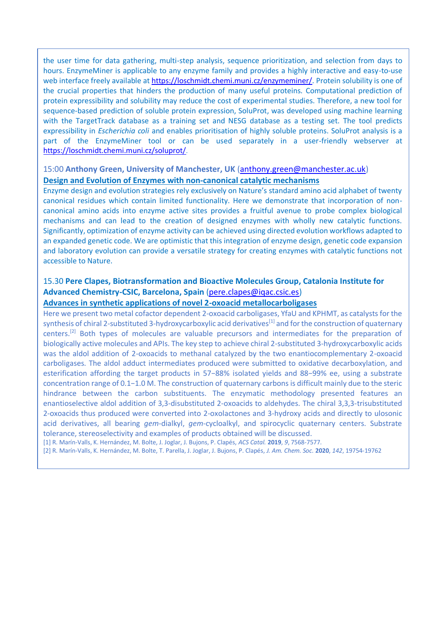the user time for data gathering, multi-step analysis, sequence prioritization, and selection from days to hours. EnzymeMiner is applicable to any enzyme family and provides a highly interactive and easy-to-use web interface freely available at [https://loschmidt.chemi.muni.cz/enzymeminer/.](https://loschmidt.chemi.muni.cz/enzymeminer/) Protein solubility is one of the crucial properties that hinders the production of many useful proteins. Computational prediction of protein expressibility and solubility may reduce the cost of experimental studies. Therefore, a new tool for sequence-based prediction of soluble protein expression, SoluProt, was developed using machine learning with the TargetTrack database as a training set and NESG database as a testing set. The tool predicts expressibility in *Escherichia coli* and enables prioritisation of highly soluble proteins. SoluProt analysis is a part of the EnzymeMiner tool or can be used separately in a user-friendly webserver at <https://loschmidt.chemi.muni.cz/soluprot/>.

#### 15:00 **Anthony Green, University of Manchester, UK** [\(anthony.green@manchester.ac.uk\)](mailto:anthony.green@manchester.ac.uk) **Design and Evolution of Enzymes with non-canonical catalytic mechanisms**

Enzyme design and evolution strategies rely exclusively on Nature's standard amino acid alphabet of twenty canonical residues which contain limited functionality. Here we demonstrate that incorporation of noncanonical amino acids into enzyme active sites provides a fruitful avenue to probe complex biological mechanisms and can lead to the creation of designed enzymes with wholly new catalytic functions. Significantly, optimization of enzyme activity can be achieved using directed evolution workflows adapted to an expanded genetic code. We are optimistic that this integration of enzyme design, genetic code expansion and laboratory evolution can provide a versatile strategy for creating enzymes with catalytic functions not accessible to Nature.

### 15.30 **Pere Clapes, Biotransformation and Bioactive Molecules Group, Catalonia Institute for Advanced Chemistry-CSIC, Barcelona, Spain** [\(pere.clapes@iqac.csic.es\)](mailto:pere.clapes@iqac.csic.es)

#### **Advances in synthetic applications of novel 2-oxoacid metallocarboligases**

Here we present two metal cofactor dependent 2-oxoacid carboligases, YfaU and KPHMT, as catalysts for the synthesis of chiral 2-substituted 3-hydroxycarboxylic acid derivatives<sup>[1]</sup> and for the construction of quaternary centers.[2] Both types of molecules are valuable precursors and intermediates for the preparation of biologically active molecules and APIs. The key step to achieve chiral 2-substituted 3-hydroxycarboxylic acids was the aldol addition of 2-oxoacids to methanal catalyzed by the two enantiocomplementary 2-oxoacid carboligases. The aldol adduct intermediates produced were submitted to oxidative decarboxylation, and esterification affording the target products in 57−88% isolated yields and 88−99% ee, using a substrate concentration range of 0.1−1.0 M. The construction of quaternary carbons is difficult mainly due to the steric hindrance between the carbon substituents. The enzymatic methodology presented features an enantioselective aldol addition of 3,3-disubstituted 2-oxoacids to aldehydes. The chiral 3,3,3-trisubstituted 2-oxoacids thus produced were converted into 2-oxolactones and 3-hydroxy acids and directly to ulosonic acid derivatives, all bearing *gem*-dialkyl, *gem*-cycloalkyl, and spirocyclic quaternary centers. Substrate tolerance, stereoselectivity and examples of products obtained will be discussed.

[1] R. Marín-Valls, K. Hernández, M. Bolte, J. Joglar, J. Bujons, P. Clapés, *ACS Catal.* **2019**, *9*, 7568-7577.

[2] R. Marín-Valls, K. Hernández, M. Bolte, T. Parella, J. Joglar, J. Bujons, P. Clapés, *J. Am. Chem. Soc.* **2020**, *142*, 19754-19762